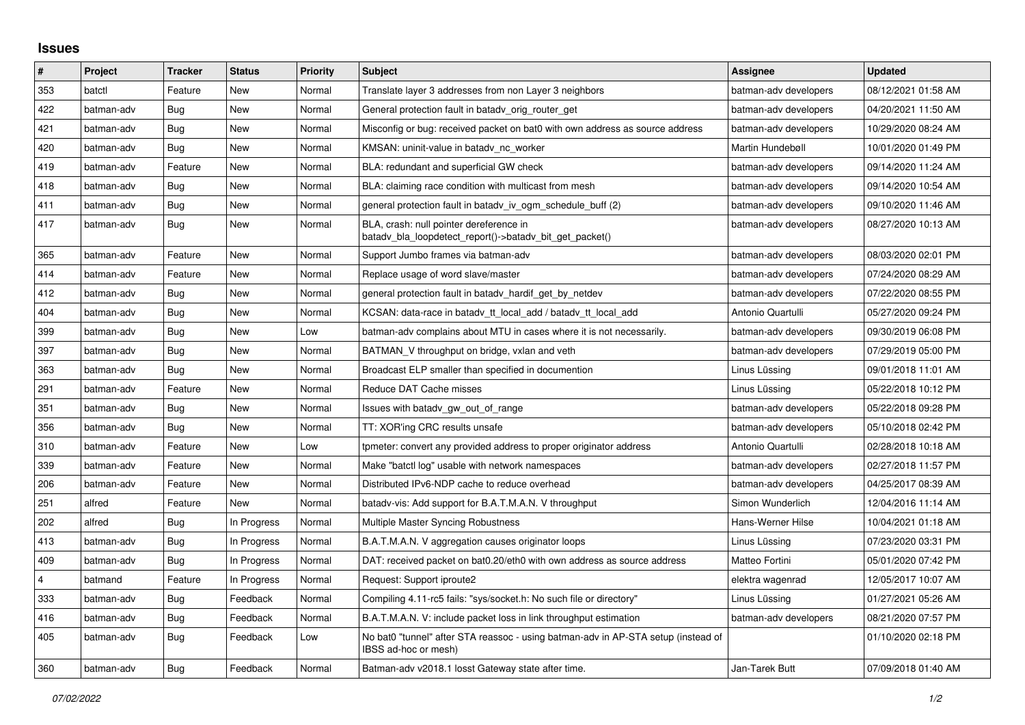## **Issues**

| $\pmb{\sharp}$ | Project    | Tracker    | <b>Status</b> | Priority | <b>Subject</b>                                                                                            | <b>Assignee</b>       | <b>Updated</b>      |
|----------------|------------|------------|---------------|----------|-----------------------------------------------------------------------------------------------------------|-----------------------|---------------------|
| 353            | batctl     | Feature    | <b>New</b>    | Normal   | Translate layer 3 addresses from non Layer 3 neighbors                                                    | batman-adv developers | 08/12/2021 01:58 AM |
| 422            | batman-adv | Bug        | <b>New</b>    | Normal   | General protection fault in batadv_orig_router_get                                                        | batman-adv developers | 04/20/2021 11:50 AM |
| 421            | batman-adv | <b>Bug</b> | <b>New</b>    | Normal   | Misconfig or bug: received packet on bat0 with own address as source address                              | batman-adv developers | 10/29/2020 08:24 AM |
| 420            | batman-adv | Bug        | <b>New</b>    | Normal   | KMSAN: uninit-value in batadv_nc_worker                                                                   | Martin Hundebøll      | 10/01/2020 01:49 PM |
| 419            | batman-adv | Feature    | <b>New</b>    | Normal   | BLA: redundant and superficial GW check                                                                   | batman-adv developers | 09/14/2020 11:24 AM |
| 418            | batman-adv | Bug        | New           | Normal   | BLA: claiming race condition with multicast from mesh                                                     | batman-adv developers | 09/14/2020 10:54 AM |
| 411            | batman-adv | Bug        | New           | Normal   | general protection fault in batady iv ogm schedule buff (2)                                               | batman-adv developers | 09/10/2020 11:46 AM |
| 417            | batman-adv | Bug        | <b>New</b>    | Normal   | BLA, crash: null pointer dereference in<br>batady_bla_loopdetect_report()->batady_bit_get_packet()        | batman-adv developers | 08/27/2020 10:13 AM |
| 365            | batman-adv | Feature    | <b>New</b>    | Normal   | Support Jumbo frames via batman-adv                                                                       | batman-adv developers | 08/03/2020 02:01 PM |
| 414            | batman-adv | Feature    | <b>New</b>    | Normal   | Replace usage of word slave/master                                                                        | batman-adv developers | 07/24/2020 08:29 AM |
| 412            | batman-adv | <b>Bug</b> | New           | Normal   | general protection fault in batady hardif get by netdev                                                   | batman-adv developers | 07/22/2020 08:55 PM |
| 404            | batman-adv | Bug        | <b>New</b>    | Normal   | KCSAN: data-race in batady tt local add / batady tt local add                                             | Antonio Quartulli     | 05/27/2020 09:24 PM |
| 399            | batman-adv | <b>Bug</b> | New           | Low      | batman-adv complains about MTU in cases where it is not necessarily.                                      | batman-adv developers | 09/30/2019 06:08 PM |
| 397            | batman-adv | Bug        | <b>New</b>    | Normal   | BATMAN V throughput on bridge, vxlan and veth                                                             | batman-adv developers | 07/29/2019 05:00 PM |
| 363            | batman-adv | Bug        | <b>New</b>    | Normal   | Broadcast ELP smaller than specified in documention                                                       | Linus Lüssing         | 09/01/2018 11:01 AM |
| 291            | batman-adv | Feature    | New           | Normal   | Reduce DAT Cache misses                                                                                   | Linus Lüssing         | 05/22/2018 10:12 PM |
| 351            | batman-adv | Bug        | <b>New</b>    | Normal   | Issues with batady gw out of range                                                                        | batman-adv developers | 05/22/2018 09:28 PM |
| 356            | batman-adv | Bug        | <b>New</b>    | Normal   | TT: XOR'ing CRC results unsafe                                                                            | batman-adv developers | 05/10/2018 02:42 PM |
| 310            | batman-adv | Feature    | New           | Low      | tpmeter: convert any provided address to proper originator address                                        | Antonio Quartulli     | 02/28/2018 10:18 AM |
| 339            | batman-adv | Feature    | <b>New</b>    | Normal   | Make "batctl log" usable with network namespaces                                                          | batman-adv developers | 02/27/2018 11:57 PM |
| 206            | batman-adv | Feature    | New           | Normal   | Distributed IPv6-NDP cache to reduce overhead                                                             | batman-adv developers | 04/25/2017 08:39 AM |
| 251            | alfred     | Feature    | New           | Normal   | batady-vis: Add support for B.A.T.M.A.N. V throughput                                                     | Simon Wunderlich      | 12/04/2016 11:14 AM |
| 202            | alfred     | <b>Bug</b> | In Progress   | Normal   | Multiple Master Syncing Robustness                                                                        | Hans-Werner Hilse     | 10/04/2021 01:18 AM |
| 413            | batman-adv | Bug        | In Progress   | Normal   | B.A.T.M.A.N. V aggregation causes originator loops                                                        | Linus Lüssing         | 07/23/2020 03:31 PM |
| 409            | batman-adv | Bug        | In Progress   | Normal   | DAT: received packet on bat0.20/eth0 with own address as source address                                   | Matteo Fortini        | 05/01/2020 07:42 PM |
| $\overline{4}$ | batmand    | Feature    | In Progress   | Normal   | Request: Support iproute2                                                                                 | elektra wagenrad      | 12/05/2017 10:07 AM |
| 333            | batman-adv | Bug        | Feedback      | Normal   | Compiling 4.11-rc5 fails: "sys/socket.h: No such file or directory"                                       | Linus Lüssing         | 01/27/2021 05:26 AM |
| 416            | batman-adv | Bug        | Feedback      | Normal   | B.A.T.M.A.N. V: include packet loss in link throughput estimation                                         | batman-adv developers | 08/21/2020 07:57 PM |
| 405            | batman-adv | Bug        | Feedback      | Low      | No bat0 "tunnel" after STA reassoc - using batman-adv in AP-STA setup (instead of<br>IBSS ad-hoc or mesh) |                       | 01/10/2020 02:18 PM |
| 360            | batman-adv | Bug        | Feedback      | Normal   | Batman-adv v2018.1 losst Gateway state after time.                                                        | Jan-Tarek Butt        | 07/09/2018 01:40 AM |